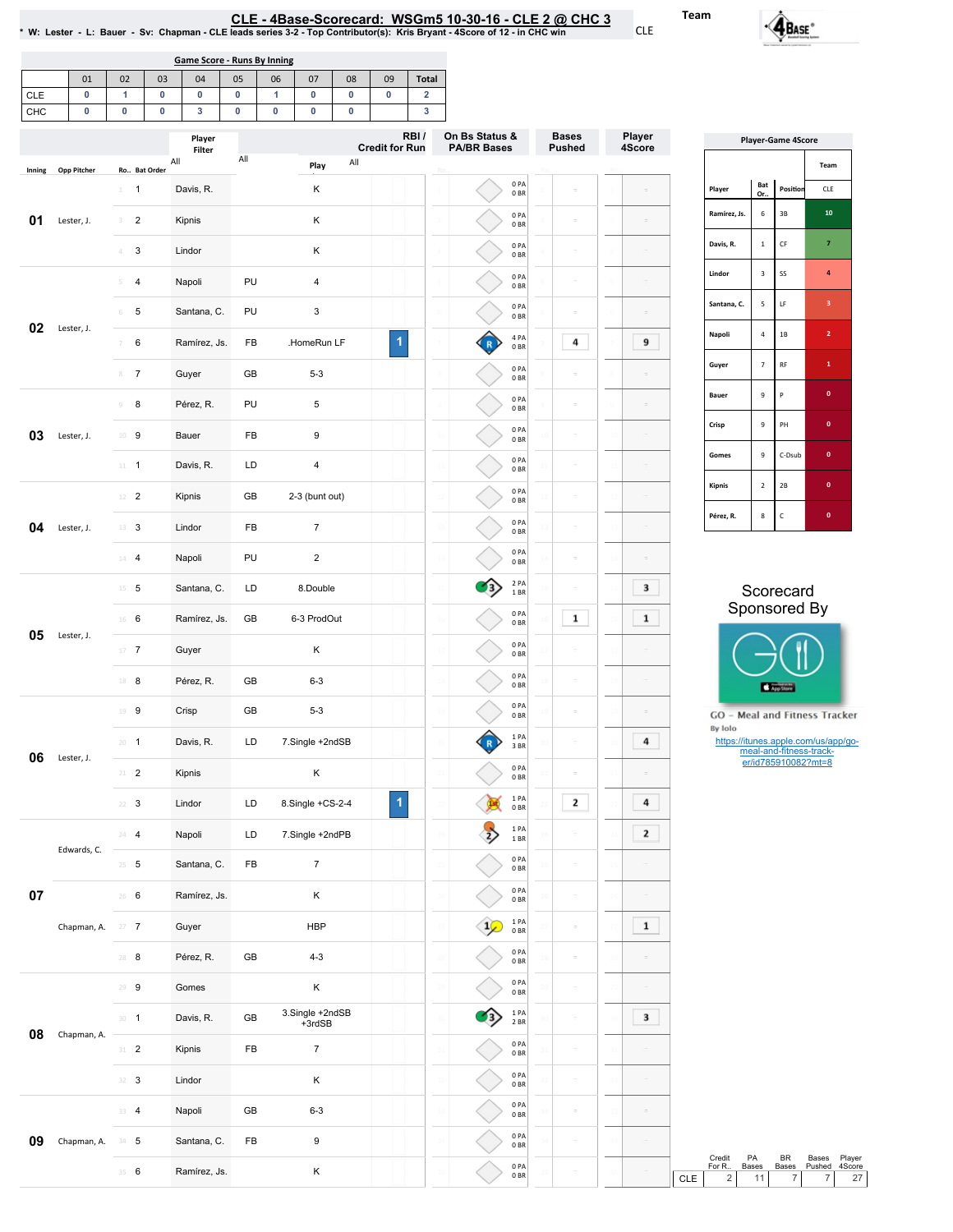0PA 0BR 0PA 0BR 0PA 0BR 0PA 0BR

Bases Pushed

 $\sim$  $\bar{\gamma}$ 

CLE-4Base-Scorecard:WSGm510-30-16-CLE2@ CHC3 \*W:Lester-L:Bauer-Sv:Chapman-CLEleadsseries3-2-TopContributor(s):KrisBryant-4Scoreof12-inCHCwin

|            | Game Score - Runs By Inning |                |     |                  |     |    |      |     |                       |                |                                      |  |  |
|------------|-----------------------------|----------------|-----|------------------|-----|----|------|-----|-----------------------|----------------|--------------------------------------|--|--|
|            | 01                          | 02             | 03  | 04               | 05  | 06 | 07   | 08  | 09                    | <b>Total</b>   |                                      |  |  |
| <b>CLE</b> | 0                           |                | 0   | 0                | 0   | 1  | 0    | 0   | 0                     | $\overline{2}$ |                                      |  |  |
| <b>CHC</b> | 0                           | $\Omega$       | 0   | 3                | 0   | 0  | 0    | 0   |                       | 3              |                                      |  |  |
|            |                             |                |     | Player<br>Filter |     |    |      |     | <b>Credit for Run</b> | RBI/           | On Bs Status &<br><b>PA/BR Bases</b> |  |  |
| Inning     | Opp Pitcher                 | Ro., Bat Order | All |                  | All |    | Play | All |                       |                | Ro                                   |  |  |
|            |                             | 1              |     | Davis, R.        |     |    | Κ    |     |                       |                | 0PA<br>0 <sub>BR</sub>               |  |  |

3 2 Kipnis K 4 3 Lindor K

5 4 Napoli PU 4 6 5 Santana,C. PU 3

**01** Lester, J.

02 Lester, J.

|               |                | <b>Player-Game 4Score</b> |                |
|---------------|----------------|---------------------------|----------------|
|               |                |                           | Team           |
| Player        | Bat<br>Or      | Position                  | CLE            |
| Ramírez, Js.  | 6              | 3B                        | 10             |
| Davis, R.     | 1              | CF                        | $\overline{7}$ |
| Lindor        | 3              | SS                        | 4              |
| Santana, C.   | 5              | LF                        | 3              |
| Napoli        | 4              | 1B                        | $\overline{2}$ |
| Guyer         | 7              | <b>RF</b>                 | $\mathbf{1}$   |
| <b>Bauer</b>  | 9              | P                         | $\mathbf{0}$   |
| Crisp         | 9              | PH                        | $\mathbf{0}$   |
| Gomes         | 9              | C-Dsub                    | $\mathbf{0}$   |
| <b>Kipnis</b> | $\overline{2}$ | 2B                        | $\mathbf{0}$   |
| Pérez, R.     | 8              | C                         | 0              |

 $\cdot \mathbf{A}_{\text{Base}}$ 

Team

CLE

Player 4Score

Ro..



|    |                | $\overline{7}$ | 6              | Ramírez, Js. | FB | .HomeRun LF                 | $\overline{1}$       |                                    | 4 PA<br>0BR                | 4            | 9              | ivapuli                              |                   |                               |                                                 |
|----|----------------|----------------|----------------|--------------|----|-----------------------------|----------------------|------------------------------------|----------------------------|--------------|----------------|--------------------------------------|-------------------|-------------------------------|-------------------------------------------------|
|    |                | 8              | $\overline{7}$ | Guyer        | GB | $5 - 3$                     |                      |                                    | 0PA<br>$0\;\mathrm{BR}$    | $\sim$       |                | Guyer                                | $\overline{7}$    | $\mathsf{RF}$                 | $\mathbf 1$                                     |
|    |                | 9              | 8              | Pérez, R.    | PU | $\,$ 5 $\,$                 |                      |                                    | 0PA<br>$0\;\mathrm{BR}$    | $\sim$       |                | <b>Bauer</b>                         | $\mathsf g$       | $\mathsf{P}$                  | $\pmb{0}$                                       |
| 03 | Lester, J.     | $10$ 9         |                | Bauer        | FB | $\boldsymbol{9}$            |                      |                                    | 0PA<br>0BR                 | $\equiv$     | $\equiv$       | Crisp                                | $\mathsf g$       | PH                            | $\mathbf{0}^-$                                  |
|    |                | $11 - 1$       |                | Davis, R.    | LD | $\pmb{4}$                   |                      |                                    | 0PA<br>0BR                 | $\equiv$     |                | Gomes                                | $\mathsf g$       | C-Dsub                        | $\pmb{0}$                                       |
|    |                | $12$ 2         |                | Kipnis       | GB | 2-3 (bunt out)              |                      |                                    | 0PA<br>$0\,\mathrm{BR}$    | $\equiv$     | $\overline{a}$ | Kipnis                               | $\overline{2}$    | $2\mathsf{B}$                 | $\mathbf 0$                                     |
| 04 | Lester, J.     | $13$ 3         |                | Lindor       | FB | $\overline{7}$              |                      |                                    | 0PA<br>$0\;\mathrm{BR}$    | $\equiv$     | $\equiv$       | Pérez, R.                            | $\bf8$            | $\mathsf{C}$                  | $\mathbf{0}$                                    |
|    |                | $14$ 4         |                | Napoli       | PU | $\overline{c}$              |                      |                                    | 0PA<br>$0\,\mathrm{BR}$    | $\sim$       |                |                                      |                   |                               |                                                 |
|    |                | $15 - 5$       |                | Santana, C.  | LD | 8.Double                    |                      | $\left\langle \cdot \right\rangle$ | 2 PA<br>1 BR               | $\equiv$     | з              |                                      |                   | Scorecard                     |                                                 |
|    |                | 16 6           |                | Ramírez, Js. | GB | 6-3 ProdOut                 |                      |                                    | 0PA<br>0BR                 | $\mathbf{1}$ | $\mathbf 1$    |                                      |                   | Sponsored By                  |                                                 |
| 05 | Lester, J.     | $17 - 7$       |                | Guyer        |    | Κ                           |                      |                                    | 0PA<br>0B                  | $\equiv$     |                |                                      |                   |                               |                                                 |
|    |                | 18 8           |                | Pérez, R.    | GB | $6 - 3$                     |                      |                                    | 0PA<br>0B                  | $\equiv$     |                |                                      |                   | App Store                     |                                                 |
|    |                | 19 9           |                | Crisp        | GB | $5 - 3$                     |                      |                                    | 0PA<br>0BR                 | $\equiv$     | $\equiv$       | GO - Meal and Fitness Tracker        |                   |                               |                                                 |
|    | Lester, J.     | $20 - 1$       |                | Davis, R.    | LD | 7.Single +2ndSB             |                      |                                    | 1 PA<br>3BR                | $\equiv$     | 4              | By Iolo                              |                   | meal-and-fitness-track-       | https://itunes.apple.com/us/app/go-             |
| 06 |                | $21 - 2$       |                | Kipnis       |    | К                           |                      |                                    | 0PA<br>0 <sub>BR</sub>     | $\sim$       |                |                                      |                   | er/id785910082?mt=8           |                                                 |
|    |                | $22 \t3$       |                | Lindor       | LD | 8.Single +CS-2-4            | $\blacktriangleleft$ |                                    | 1PA<br>0BR                 | $\mathbf{2}$ | 4              |                                      |                   |                               |                                                 |
|    |                | $24 - 4$       |                | Napoli       | LD | 7.Single +2ndPB             |                      | $\sum$                             | 1 PA<br>1 BR               | $\bar{a}$    | $\mathbf{2}$   |                                      |                   |                               |                                                 |
|    | Edwards, C.    | $25 - 5$       |                | Santana, C.  | FB | $\overline{7}$              |                      |                                    | 0PA<br>0B                  | $\equiv$     |                |                                      |                   |                               |                                                 |
| 07 |                | $26 - 6$       |                | Ramírez, Js. |    | Κ                           |                      |                                    | 0PA<br>0BR                 | $\equiv$     |                |                                      |                   |                               |                                                 |
|    | Chapman, A.    | $27 - 7$       |                | Guyer        |    | <b>HBP</b>                  |                      | $\frac{1}{2}$                      | 1 PA<br>0BR                | $\sim$       | $\mathbf{1}$   |                                      |                   |                               |                                                 |
|    |                | $28$ 8         |                | Pérez, R.    | GB | $4 - 3$                     |                      |                                    | 0PA<br>$0\;\mathrm{BR}$    | $\equiv$     | $\equiv$       |                                      |                   |                               |                                                 |
|    |                | 29 9           |                | Gomes        |    | К                           |                      |                                    | 0PA<br>0BR                 | $\sim$       |                |                                      |                   |                               |                                                 |
|    |                | $30 - 1$       |                | Davis, R.    | GB | 3.Single +2ndSB<br>$+3rdSB$ |                      | $\left( \frac{1}{2} \right)$       | 1PA<br>$2$ BR              | $\sim$       | 3              |                                      |                   |                               |                                                 |
|    | 08 Chapman, A. | $31$ 2         |                | Kipnis       | FB | $\boldsymbol{7}$            |                      |                                    | 0 PA<br>0 BR               |              |                |                                      |                   |                               |                                                 |
|    |                | $32 - 3$       |                | Lindor       |    | $\sf K$                     |                      |                                    | 0 PA<br>$0\;\mathrm{BR}$   | $\equiv$     | $\equiv$       |                                      |                   |                               |                                                 |
|    |                | 33 4           |                | Napoli       | GB | $6 - 3$                     |                      |                                    | 0PA<br>$0\;\mathrm{BR}$    | $\sim$       |                |                                      |                   |                               |                                                 |
| 09 | Chapman, A.    | $34$ 5         |                | Santana, C.  | FB | 9                           |                      |                                    | 0PA<br>$0\;\mathrm{BR}$    | $\equiv$     |                |                                      |                   |                               |                                                 |
|    |                | 35 6           |                | Ramírez, Js. |    | Κ                           |                      |                                    | $0$ PA<br>$0\;\mathrm{BR}$ | $\equiv$     |                | Credit<br>For R<br>$\sqrt{2}$<br>CLE | PA<br>Bases<br>11 | BR<br>Bases<br>$\overline{7}$ | Bases Player<br>Pushed 4Score<br>$\overline{7}$ |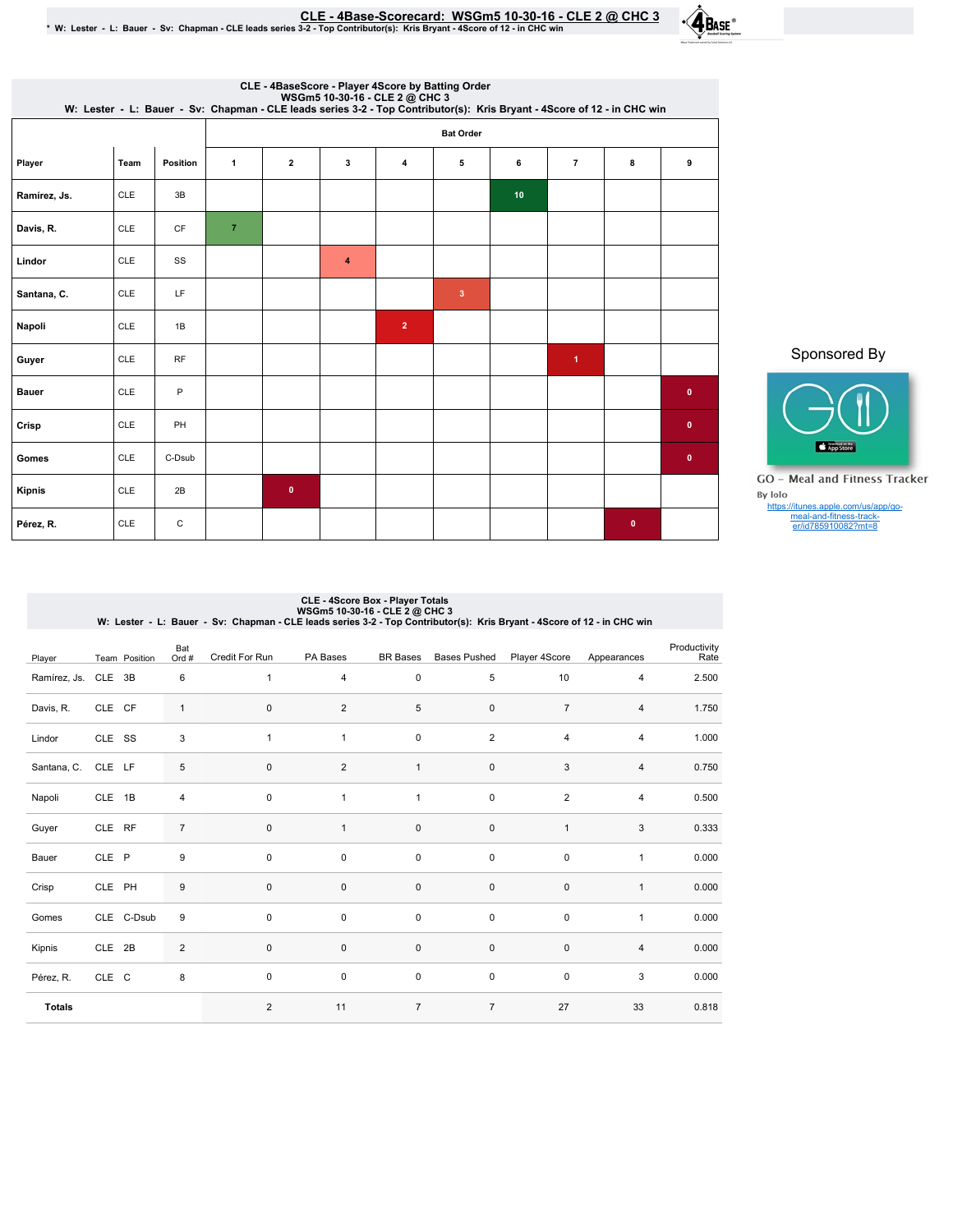| W: Lester - L: Bauer - Sv: Chapman - CLE leads series 3-2 - Top Contributor(s): Kris Bryant - 4Score of 12 - in CHC win |            |          |                |                         |                                |   |                                                   |    |                | CLE - 4Base-Scorecard: WSGm5 10-30-16 - CLE 2 @ CHC 3                                                                   |   |
|-------------------------------------------------------------------------------------------------------------------------|------------|----------|----------------|-------------------------|--------------------------------|---|---------------------------------------------------|----|----------------|-------------------------------------------------------------------------------------------------------------------------|---|
|                                                                                                                         |            |          |                |                         | WSGm5 10-30-16 - CLE 2 @ CHC 3 |   | CLE - 4BaseScore - Player 4Score by Batting Order |    |                | W: Lester - L: Bauer - Sv: Chapman - CLE leads series 3-2 - Top Contributor(s): Kris Bryant - 4Score of 12 - in CHC win |   |
|                                                                                                                         |            |          |                |                         |                                |   | <b>Bat Order</b>                                  |    |                |                                                                                                                         |   |
| Player                                                                                                                  | Team       | Position | 1              | $\overline{\mathbf{2}}$ | 3                              | 4 | 5                                                 | 6  | $\overline{7}$ | 8                                                                                                                       | 9 |
| Ramírez, Js.                                                                                                            | <b>CLE</b> | 3B       |                |                         |                                |   |                                                   | 10 |                |                                                                                                                         |   |
| Davis, R.                                                                                                               | <b>CLE</b> | CF       | $\overline{7}$ |                         |                                |   |                                                   |    |                |                                                                                                                         |   |
| Lindor                                                                                                                  | <b>CLE</b> | SS       |                |                         | $\overline{\bf{4}}$            |   |                                                   |    |                |                                                                                                                         |   |
| Santana, C.                                                                                                             | <b>CLE</b> | LF       |                |                         |                                |   | 3                                                 |    |                |                                                                                                                         |   |
|                                                                                                                         |            |          |                |                         |                                |   |                                                   |    |                |                                                                                                                         |   |

Napoli CLE 1B

Guyer | CLE | RF

Bauer | CLE | P

Crisp CLE PH

Gomes CLE C-Dsub

Kipnis CLE 2B

Pérez, R.  $CLE$  C

Sponsored By



GO - Meal and Fitness Tracker By Iolo https://itunes.apple.com/us/app/go-meal-and-fitness-track-er/id785910082?mt=8

## CLE - 4Score Box - Player Totals<br>W: Lester - L: Bauer - Sv: Chapman - WSGm5 10-30-16 - CLE 2 @ CHC 3<br>W: Lester - L: Bauer - Sv: Chapman - CLE leads series 3-2 - Top Contributor(s): Kris Bryant - 4Score of

| Player              |        | Team Position | Bat<br>Ord #     | Credit For Run | PA Bases                | <b>BR</b> Bases | <b>Bases Pushed</b> | Player 4Score  | Appearances    | Productivity<br>Rate |
|---------------------|--------|---------------|------------------|----------------|-------------------------|-----------------|---------------------|----------------|----------------|----------------------|
| Ramírez, Js. CLE 3B |        |               | 6                | 1              | 4                       | $\mathbf 0$     | 5                   | 10             | 4              | 2.500                |
| Davis, R.           | CLE CF |               | $\mathbf{1}$     | $\mathsf 0$    | $\overline{\mathbf{c}}$ | 5               | $\pmb{0}$           | $\overline{7}$ | 4              | 1.750                |
| Lindor              | CLE SS |               | 3                | 1              | $\mathbf{1}$            | $\mathbf 0$     | $\overline{2}$      | 4              | $\overline{4}$ | 1.000                |
| Santana, C.         | CLE LF |               | $\,$ 5 $\,$      | $\mathbf 0$    | $\overline{c}$          | $\mathbf{1}$    | $\pmb{0}$           | 3              | $\overline{4}$ | 0.750                |
| Napoli              | CLE 1B |               | 4                | $\pmb{0}$      | $\mathbf{1}$            | $\mathbf{1}$    | 0                   | $\overline{2}$ | 4              | 0.500                |
| Guyer               | CLE RF |               | $\boldsymbol{7}$ | $\mathbf 0$    | $\mathbf{1}$            | $\pmb{0}$       | $\pmb{0}$           | $\mathbf{1}$   | 3              | 0.333                |
| Bauer               | CLE P  |               | 9                | $\pmb{0}$      | $\pmb{0}$               | $\mathbf 0$     | 0                   | $\pmb{0}$      | $\mathbf{1}$   | 0.000                |
| Crisp               | CLE PH |               | 9                | $\mathbf 0$    | $\pmb{0}$               | $\pmb{0}$       | $\pmb{0}$           | $\pmb{0}$      | $\mathbf{1}$   | 0.000                |
| Gomes               |        | CLE C-Dsub    | 9                | $\pmb{0}$      | $\pmb{0}$               | $\mathbf 0$     | 0                   | $\pmb{0}$      | $\mathbf{1}$   | 0.000                |
| Kipnis              | CLE 2B |               | $\sqrt{2}$       | $\mathbf 0$    | $\pmb{0}$               | $\pmb{0}$       | $\pmb{0}$           | $\pmb{0}$      | 4              | 0.000                |
| Pérez, R.           | CLE C  |               | 8                | 0              | $\pmb{0}$               | $\pmb{0}$       | 0                   | $\pmb{0}$      | 3              | 0.000                |
| <b>Totals</b>       |        |               |                  | $\overline{c}$ | 11                      | $\overline{7}$  | $\overline{7}$      | 27             | 33             | 0.818                |



 $\overline{\mathbf{0}}$ 

 $\overline{\mathbf{0}}$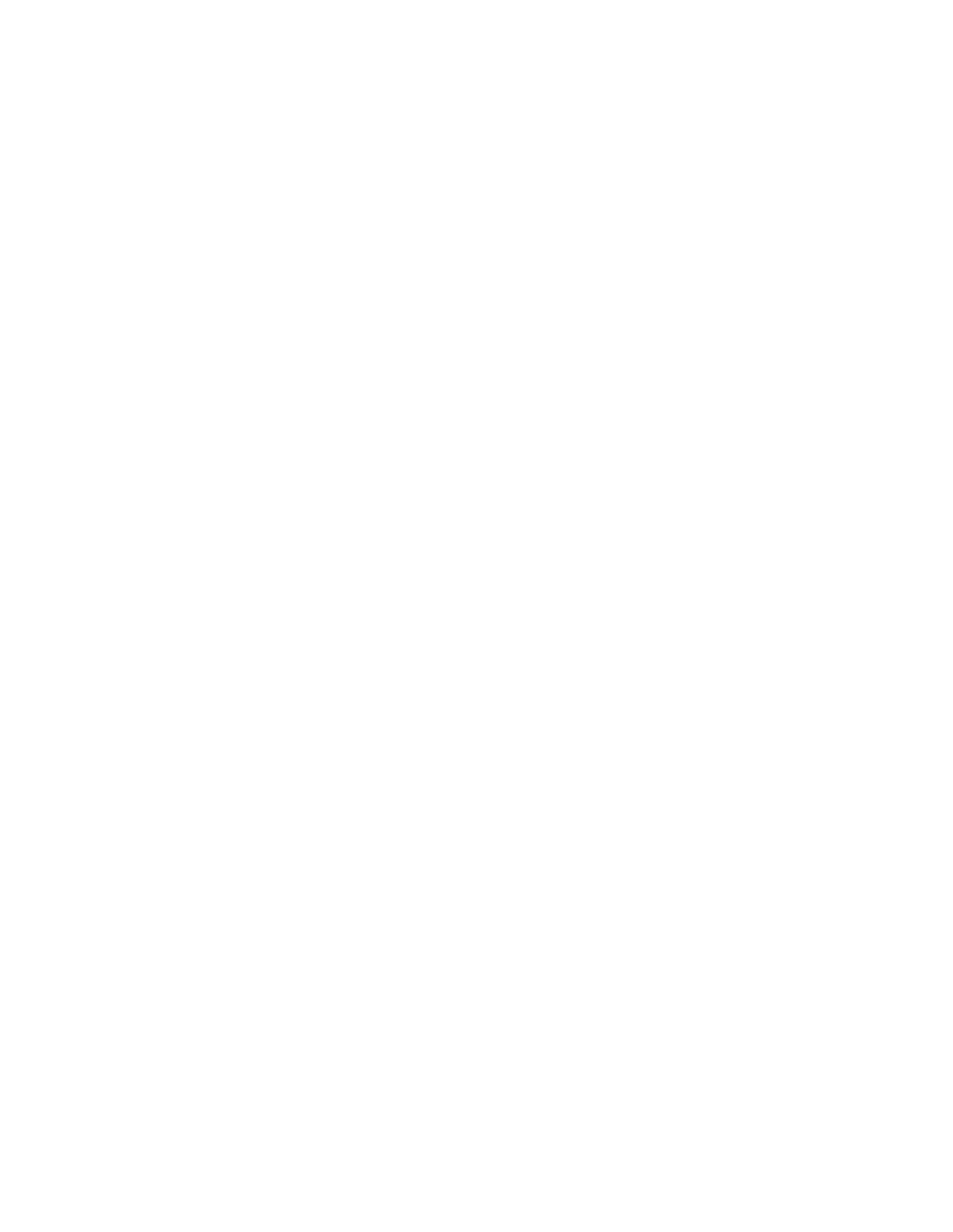|                                                     | $\%$ DVH6FRUHFDLG: 6*P                | # $8 + 8$<br>8/7 |
|-----------------------------------------------------|---------------------------------------|------------------|
| <b>HVMU</b><br>%DXHU 6Y & KDSPDQ & / ( OHDGV VHULHV | 7RS&ROMMEXWRUV.<br>.ULV%LUDOW 6FRUHRI | $IQR+8$ ZIO      |

|            | &/(%DVH6FRUH 300\HU 6FRUHE\%DWLQJ2UGHU<br>$:6*P$<br>$8/($ # $8+8$<br><b>Contract Contract</b><br>: /HWMNU / %DXHU 6Y & KDSPDQ & /(OHDGVVHULHV 7RS&RQMUEXWRUV ULV%UNDQW 6FRUHRI<br>$LQ & 8 + 8ZLQ$ |                              |  |           |  |  |  |  |  |  |  |  |  |  |
|------------|---------------------------------------------------------------------------------------------------------------------------------------------------------------------------------------------------|------------------------------|--|-----------|--|--|--|--|--|--|--|--|--|--|
|            |                                                                                                                                                                                                   |                              |  | %DW2 UGHU |  |  |  |  |  |  |  |  |  |  |
| 300 HU     | 7HDP                                                                                                                                                                                              | 3 RVIMRQ                     |  |           |  |  |  |  |  |  |  |  |  |  |
| 5DPtUH - V | $8/$ (                                                                                                                                                                                            | $\%$                         |  |           |  |  |  |  |  |  |  |  |  |  |
| ' DYLV 5   | $8/$ (                                                                                                                                                                                            | &)                           |  |           |  |  |  |  |  |  |  |  |  |  |
| / LQGRU    | $8/$ (                                                                                                                                                                                            | 66                           |  |           |  |  |  |  |  |  |  |  |  |  |
| 6DQMQD &   | $8/$ (                                                                                                                                                                                            | $\left( \frac{1}{2} \right)$ |  |           |  |  |  |  |  |  |  |  |  |  |
| 1 DSROL    | $8/$ (                                                                                                                                                                                            | $\%$                         |  |           |  |  |  |  |  |  |  |  |  |  |
| * X\HU     | $8/$ (                                                                                                                                                                                            | 5)                           |  |           |  |  |  |  |  |  |  |  |  |  |
| %DXHU      | $8/$ (                                                                                                                                                                                            | 3                            |  |           |  |  |  |  |  |  |  |  |  |  |
| &ULVS      | $8/$ (                                                                                                                                                                                            | $3+$                         |  |           |  |  |  |  |  |  |  |  |  |  |
| $*$ RP HV  | $8/$ (                                                                                                                                                                                            | & ' VXE                      |  |           |  |  |  |  |  |  |  |  |  |  |
| . LSQLV    | $8/$ (                                                                                                                                                                                            | $\%$                         |  |           |  |  |  |  |  |  |  |  |  |  |
| 3pUH 5     | $8/$ (                                                                                                                                                                                            | &                            |  |           |  |  |  |  |  |  |  |  |  |  |

6 SRQVRUHG%

<u>KWON WACH VDSSOHERP XVDSSJR</u><br>PHOCOGGILMOHWWOFN<br><u>HUIG "PW</u>

|                             |          |               |            |                 | $: 6*P$<br><u>and the state</u><br>: /H-WM-U / %DXHU 6Y & KDSPDQ & /(OBDGVVHULHV 7RS&RQMUEXWRUV .ULV%UJDQW 6FRUHRI | &/( 6FRUH%R[ 300\HU7RW20V<br>$8/($ # $8+8$ |                                 | $LQ&+&ZLQ$   |             |
|-----------------------------|----------|---------------|------------|-----------------|--------------------------------------------------------------------------------------------------------------------|--------------------------------------------|---------------------------------|--------------|-------------|
|                             |          |               | %DW        |                 |                                                                                                                    |                                            |                                 |              | 3 URGXFWYUW |
| 30MHU<br>5 DP tUH - V &/ (% |          | 7HDP 3RVMLIRQ | $2 \cup 5$ | & UHGLV) RU5 XQ | 3\$ %DMHV                                                                                                          |                                            | %5 %DVHV %DVHV3XWHG 300 HU6FRUH | \$SSHDUDGFHV | 5DM         |
| ' DYLV 5                    | 8/(8)    |               |            |                 |                                                                                                                    |                                            |                                 |              |             |
| / LQGRU                     | $8/$ (66 |               |            |                 |                                                                                                                    |                                            |                                 |              |             |
| 6DQMQD &                    | 8/()     |               |            |                 |                                                                                                                    |                                            |                                 |              |             |
| 1 DSRO                      | $8/($ %  |               |            |                 |                                                                                                                    |                                            |                                 |              |             |
| $*$ X HU                    | 8/(5)    |               |            |                 |                                                                                                                    |                                            |                                 |              |             |
| %DXHU                       | 8/(3)    |               |            |                 |                                                                                                                    |                                            |                                 |              |             |
| &ULAS                       | $8/(3+$  |               |            |                 |                                                                                                                    |                                            |                                 |              |             |
| $*$ RPHV                    |          | &/ ( & ' VXE  |            |                 |                                                                                                                    |                                            |                                 |              |             |
| . ISQV                      | $8/($ %  |               |            |                 |                                                                                                                    |                                            |                                 |              |             |
| 3p明 5                       | &/( &    |               |            |                 |                                                                                                                    |                                            |                                 |              |             |
| 7RWDOV                      |          |               |            |                 |                                                                                                                    |                                            |                                 |              |             |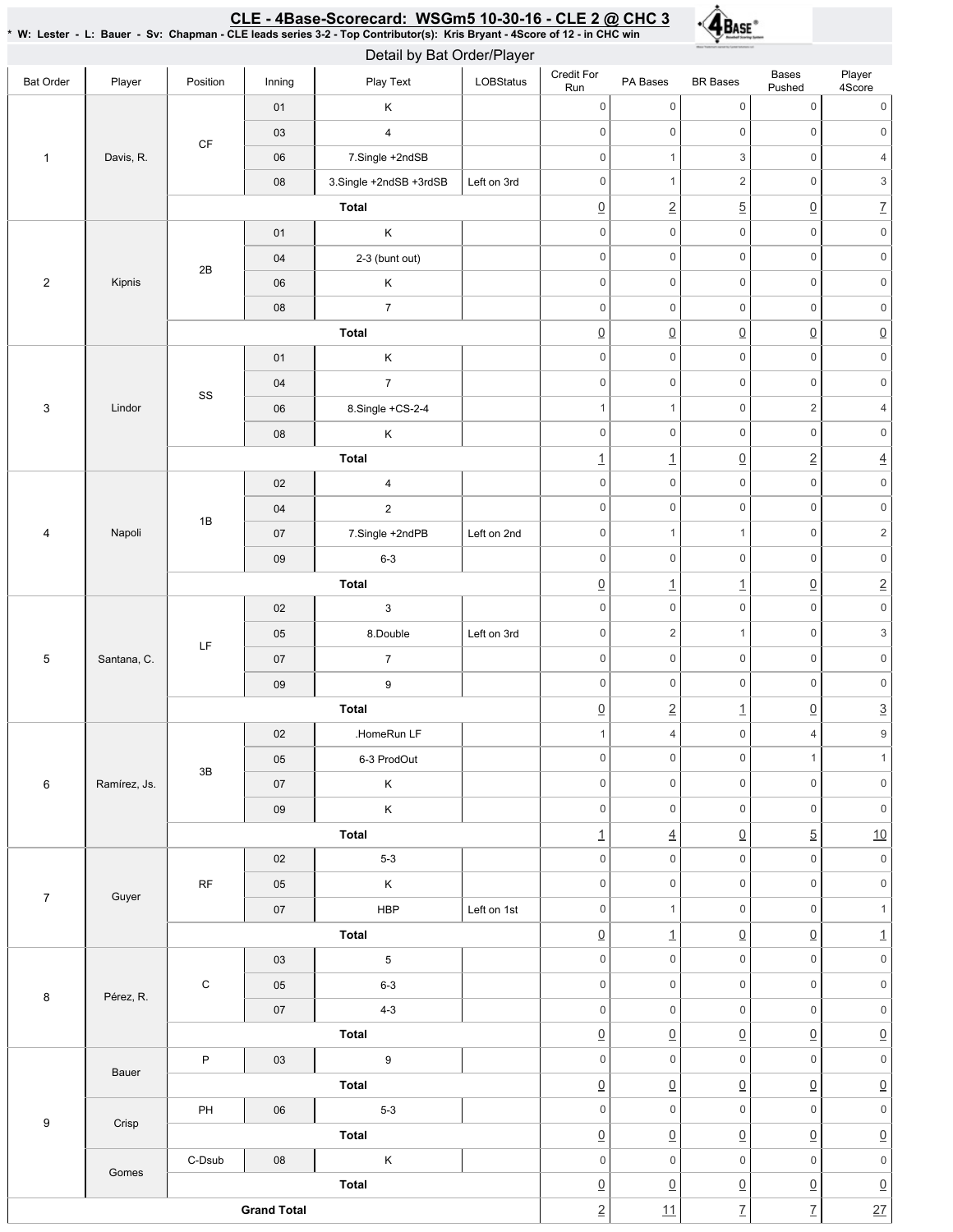| CLE - 4Base-Scorecard: WSGm5 10-30-16 - CLE 2 @ CHC 3                                                                     |  |
|---------------------------------------------------------------------------------------------------------------------------|--|
| * W: Lester - L: Bauer - Sv: Chapman - CLE leads series 3-2 - Top Contributor(s): Kris Bryant - 4Score of 12 - in CHC win |  |



| Detail by Bat Order/Player<br>Credit For<br>Bases |              |              |                    |                                   |             |                                       |                                       |                                        |                                       |                                       |  |  |  |
|---------------------------------------------------|--------------|--------------|--------------------|-----------------------------------|-------------|---------------------------------------|---------------------------------------|----------------------------------------|---------------------------------------|---------------------------------------|--|--|--|
| <b>Bat Order</b>                                  | Player       | Position     | Inning             | Play Text                         | LOBStatus   | Run                                   | PA Bases                              | <b>BR</b> Bases                        | Pushed                                | Player<br>4Score                      |  |  |  |
|                                                   |              |              | 01                 | $\mathsf K$                       |             | $\mathsf{O}\xspace$                   | $\mathsf{O}\xspace$                   | $\mathsf{O}\xspace$                    | $\mathsf{O}\xspace$                   | $\mathbf 0$                           |  |  |  |
|                                                   |              | CF           | 03                 | $\overline{\mathbf{4}}$           |             | $\mathsf{O}\xspace$                   | $\mathsf{O}$                          | $\mathbf 0$                            | $\mathsf 0$                           | $\mathsf{O}\xspace$                   |  |  |  |
| $\mathbf{1}$                                      | Davis, R.    |              | 06                 | 7.Single +2ndSB                   |             | $\mathsf{O}\xspace$                   | $\mathbf{1}$                          | 3                                      | $\mathsf 0$                           | $\sqrt{4}$                            |  |  |  |
|                                                   |              |              | 08                 | 3.Single +2ndSB +3rdSB            | Left on 3rd | $\mathsf{O}\xspace$                   | $\mathbf{1}$                          | $\sqrt{2}$                             | $\mathsf{O}\xspace$                   | $\ensuremath{\mathsf{3}}$             |  |  |  |
|                                                   |              |              |                    | Total                             |             | $\underline{0}$                       | $\underline{2}$                       | $\overline{5}$                         | $\underline{0}$                       | $\underline{7}$                       |  |  |  |
|                                                   |              |              | 01                 | $\mathsf K$                       |             | $\mathsf{O}\xspace$                   | $\mathsf{O}\xspace$                   | $\mathsf{O}\xspace$                    | $\mathsf 0$                           | $\mathsf{O}\xspace$                   |  |  |  |
|                                                   |              | 2B           | 04                 | 2-3 (bunt out)                    |             | $\mathbf 0$                           | $\mathsf{O}\xspace$                   | $\mathsf{O}\xspace$                    | $\mathsf 0$                           | $\mathsf{O}\xspace$                   |  |  |  |
| $\sqrt{2}$                                        | Kipnis       |              | 06                 | Κ                                 |             | $\mathbf 0$                           | $\mathsf{O}\xspace$                   | $\mathsf{O}\xspace$                    | $\mathsf 0$                           | $\mathsf{O}\xspace$                   |  |  |  |
|                                                   |              |              | ${\bf 08}$         | $\overline{7}$                    |             | $\mathsf{O}\xspace$                   | $\mathsf{O}\xspace$                   | $\mathsf{O}\xspace$                    | $\mathsf{O}\xspace$                   | $\mathsf{O}\xspace$                   |  |  |  |
|                                                   |              |              |                    | Total                             |             | $\underline{0}$                       | $\underline{0}$                       | $\underline{0}$                        | $\underline{0}$                       | $\underline{0}$                       |  |  |  |
|                                                   |              |              | 01                 | $\mathsf K$                       |             | $\mathbf 0$                           | $\mathbf 0$                           | $\mathbf 0$                            | $\mathsf 0$                           | $\mathsf{O}\xspace$                   |  |  |  |
|                                                   |              | SS           | 04                 | $\overline{7}$                    |             | $\mathsf{O}\xspace$                   | $\mathsf{O}\xspace$                   | $\mathsf{O}\xspace$                    | $\mathsf{O}\xspace$                   | $\mathsf{O}\xspace$                   |  |  |  |
| 3                                                 | Lindor       |              | 06                 | 8.Single +CS-2-4                  |             | 1                                     | $\mathbf{1}$                          | $\mathsf{O}\xspace$                    | $\sqrt{2}$                            | $\overline{4}$                        |  |  |  |
|                                                   |              |              | 08                 | $\mathsf K$                       |             | $\mathsf{O}\xspace$                   | $\mathsf{O}\xspace$                   | $\mathbf 0$                            | $\mathbf 0$                           | $\mathsf{O}\xspace$                   |  |  |  |
|                                                   |              |              |                    | Total                             |             | $\overline{1}$<br>$\mathsf{O}\xspace$ | $\overline{1}$<br>$\mathsf{O}\xspace$ | $\underline{0}$<br>$\mathsf{O}\xspace$ | $\overline{2}$<br>$\mathsf{O}\xspace$ | $\overline{4}$<br>$\mathsf{O}\xspace$ |  |  |  |
|                                                   |              |              | 02                 | $\overline{4}$                    |             | $\mathsf{O}\xspace$                   | $\mathsf{O}\xspace$                   | $\mathbf 0$                            | $\mathbf 0$                           | $\mathsf{O}\xspace$                   |  |  |  |
| 4                                                 | Napoli       | 1B           | 04<br>07           | $\overline{2}$<br>7.Single +2ndPB | Left on 2nd | $\mathsf{O}\xspace$                   | $\mathbf{1}$                          | $\mathbf{1}$                           | $\mathsf 0$                           | $\sqrt{2}$                            |  |  |  |
|                                                   |              |              | 09                 | $6 - 3$                           |             | $\mathsf{O}\xspace$                   | $\mathsf{O}\xspace$                   | $\mathsf{O}\xspace$                    | $\mathsf 0$                           | $\mathsf{O}\xspace$                   |  |  |  |
|                                                   |              |              |                    | Total                             |             | $\underline{0}$                       | $\overline{1}$                        | $\underline{\mathbf{1}}$               | $\underline{0}$                       | $\underline{2}$                       |  |  |  |
|                                                   |              |              | $02\,$             | $\mathsf 3$                       |             | $\mathsf{O}\xspace$                   | $\mathsf{O}\xspace$                   | $\mathsf{O}\xspace$                    | $\mathsf{O}\xspace$                   | $\mathsf{O}\xspace$                   |  |  |  |
|                                                   | Santana, C.  | LF           | 05                 | 8.Double                          | Left on 3rd | $\mathsf{O}\xspace$                   | $\overline{2}$                        | $\mathbf{1}$                           | $\mathsf 0$                           | $\ensuremath{\mathsf{3}}$             |  |  |  |
| 5                                                 |              |              | $07\,$             | $\boldsymbol{7}$                  |             | $\mathsf{O}\xspace$                   | $\mathsf{O}\xspace$                   | $\mathsf{O}\xspace$                    | $\mathsf 0$                           | $\mathsf{O}\xspace$                   |  |  |  |
|                                                   |              |              | 09                 | $\boldsymbol{9}$                  |             | $\mathsf{O}\xspace$                   | $\mathbf 0$                           | $\mathbf 0$                            | $\mathbf 0$                           | $\mathsf{O}\xspace$                   |  |  |  |
|                                                   |              |              |                    | Total                             |             | $\underline{0}$                       | $\underline{2}$                       | $\overline{1}$                         | $\underline{0}$                       | $\underline{3}$                       |  |  |  |
|                                                   |              |              | $02\,$             | .HomeRun LF                       |             | $\mathbf{1}$                          | $\overline{4}$                        | $\mathbf 0$                            | $\sqrt{4}$                            | $\boldsymbol{9}$                      |  |  |  |
|                                                   |              |              | 05                 | 6-3 ProdOut                       |             | $\mathsf{O}\xspace$                   | $\mathsf{O}\xspace$                   | $\mathsf{O}\xspace$                    | $\mathbf{1}$                          | $\mathbf{1}$                          |  |  |  |
| 6                                                 | Ramírez, Js. | 3B           | 07                 | K                                 |             | $\mathsf{O}\xspace$                   | $\overline{0}$                        | $\mathsf{O}\xspace$                    | $\mathsf{O}\xspace$                   | $\mathsf{O}\xspace$                   |  |  |  |
|                                                   |              |              | 09                 | K                                 |             | $\mathsf{O}\xspace$                   | $\mathbf 0$                           | $\mathbf 0$                            | $\mathsf{O}\xspace$                   | $\mathsf{O}\xspace$                   |  |  |  |
|                                                   |              |              | <b>Total</b>       |                                   |             | $\overline{1}$                        | $\overline{4}$                        | $\underline{0}$                        | $\overline{5}$                        | 10                                    |  |  |  |
|                                                   |              |              | 02                 | $5 - 3$                           |             | $\mathsf{O}\xspace$                   | $\mathsf{O}\xspace$                   | $\mathsf{O}\xspace$                    | $\mathsf{O}\xspace$                   | $\mathsf{O}\xspace$                   |  |  |  |
|                                                   |              | RF           | 05                 | K                                 |             | $\mathsf{O}\xspace$                   | $\mathsf{O}\xspace$                   | $\mathsf 0$                            | $\mathsf{O}\xspace$                   | $\mathsf{O}\xspace$                   |  |  |  |
| $\overline{7}$                                    | Guyer        |              | 07                 | HBP                               | Left on 1st | $\mathsf{O}\xspace$                   | $\mathbf{1}$                          | $\mathbf 0$                            | $\mathsf 0$                           | $\mathbf{1}$                          |  |  |  |
|                                                   |              |              |                    | Total                             |             | $\underline{0}$                       | $\underline{\mathbf{1}}$              | $\underline{0}$                        | $\underline{0}$                       | $\underline{1}$                       |  |  |  |
|                                                   |              |              | 03                 | $5\phantom{.0}$                   |             | $\mathsf{O}\xspace$                   | $\mathsf{O}$                          | $\mathbf 0$                            | $\mathsf 0$                           | $\mathsf{O}\xspace$                   |  |  |  |
| 8                                                 | Pérez, R.    | $\mathbf C$  | 05                 | $6 - 3$                           |             | $\mathsf{O}\xspace$                   | $\mathsf{O}\xspace$                   | $\mathsf{O}\xspace$                    | $\mathsf{O}\xspace$                   | $\mathsf{O}\xspace$                   |  |  |  |
|                                                   |              |              | $07\,$             | $4 - 3$                           |             | $\mathsf{O}\xspace$                   | $\mathsf{O}\xspace$                   | $\mathsf{O}\xspace$                    | $\mathsf{O}\xspace$                   | $\mathsf{O}\xspace$                   |  |  |  |
|                                                   |              |              |                    | Total                             |             | $\underline{0}$                       | $\underline{0}$                       | $\underline{0}$                        | $\underline{0}$                       | $\underline{0}$                       |  |  |  |
|                                                   | Bauer        | $\mathsf{P}$ | 03                 | $\boldsymbol{9}$                  |             | $\mathsf{O}\xspace$                   | $\mathsf{O}\xspace$                   | $\mathsf{O}\xspace$                    | $\mathsf{O}\xspace$                   | $\mathsf{O}\xspace$                   |  |  |  |
|                                                   |              |              |                    | Total                             |             | $\underline{0}$                       | $\underline{0}$                       | $\underline{0}$                        | $\underline{0}$                       | $\underline{0}$                       |  |  |  |
| 9                                                 | Crisp        | PH           | 06                 | $5 - 3$                           |             | $\mathsf{O}\xspace$                   | $\mathsf{O}\xspace$                   | $\mathsf{O}\xspace$                    | $\mathsf{O}\xspace$                   | $\mathsf{O}\xspace$                   |  |  |  |
|                                                   |              |              |                    | Total                             |             | $\underline{0}$                       | $\underline{0}$                       | $\underline{0}$                        | $\underline{0}$                       | $\underline{0}$                       |  |  |  |
|                                                   | Gomes        | C-Dsub       | 08                 | $\mathsf K$                       |             | $\mathsf{O}\xspace$                   | $\mathbf 0$                           | $\mathbf 0$                            | $\mathbf 0$                           | $\mathsf{O}\xspace$                   |  |  |  |
|                                                   |              |              |                    | Total                             |             | $\underline{0}$                       | $\underline{0}$                       | $\underline{0}$                        | $\underline{0}$                       | $\underline{0}$                       |  |  |  |
|                                                   |              |              | <b>Grand Total</b> |                                   |             | $\overline{2}$                        | 11                                    | $\underline{7}$                        | $\overline{1}$                        | 27                                    |  |  |  |